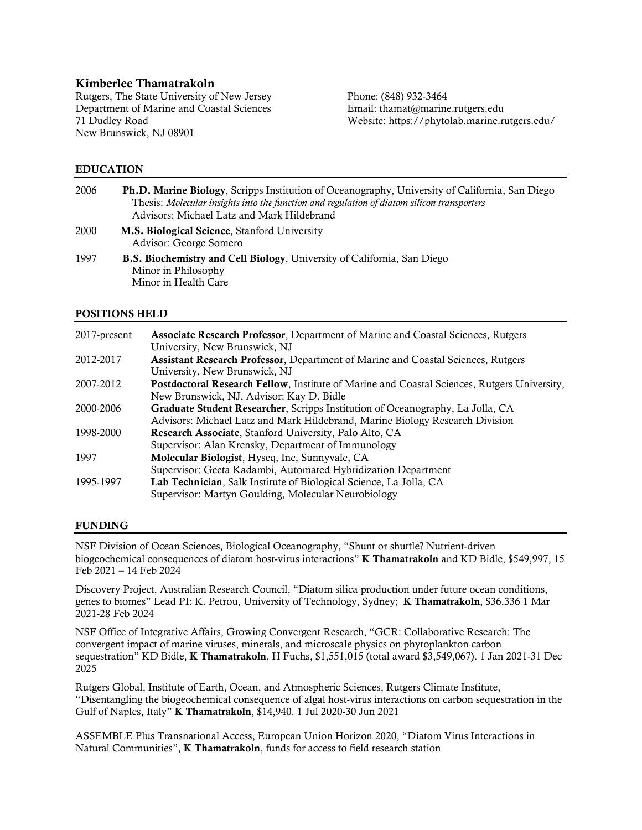# Kimberlee Thamatrakoln

Rutgers, The State University of New Jersey Phone: (848) 932-3464 Department of Marine and Coastal Sciences Email: thamat@marine.rutgers.edu New Brunswick, NJ 08901

Website: https://phytolab.marine.rutgers.edu/

### EDUCATION

| 2006 | <b>Ph.D. Marine Biology, Scripps Institution of Oceanography, University of California, San Diego</b><br>Thesis: Molecular insights into the function and regulation of diatom silicon transporters<br>Advisors: Michael Latz and Mark Hildebrand |
|------|---------------------------------------------------------------------------------------------------------------------------------------------------------------------------------------------------------------------------------------------------|
| 2000 | M.S. Biological Science, Stanford University<br>Advisor: George Somero                                                                                                                                                                            |
| 1997 | <b>B.S. Biochemistry and Cell Biology</b> , University of California, San Diego<br>Minor in Philosophy<br>Minor in Health Care                                                                                                                    |

# POSITIONS HELD

| 2017-present | <b>Associate Research Professor, Department of Marine and Coastal Sciences, Rutgers</b><br>University, New Brunswick, NJ |
|--------------|--------------------------------------------------------------------------------------------------------------------------|
| 2012-2017    | <b>Assistant Research Professor, Department of Marine and Coastal Sciences, Rutgers</b>                                  |
|              | University, New Brunswick, NJ                                                                                            |
| 2007-2012    | Postdoctoral Research Fellow, Institute of Marine and Coastal Sciences, Rutgers University,                              |
|              | New Brunswick, NJ, Advisor: Kay D. Bidle                                                                                 |
| 2000-2006    | Graduate Student Researcher, Scripps Institution of Oceanography, La Jolla, CA                                           |
|              | Advisors: Michael Latz and Mark Hildebrand, Marine Biology Research Division                                             |
| 1998-2000    | Research Associate, Stanford University, Palo Alto, CA                                                                   |
|              | Supervisor: Alan Krensky, Department of Immunology                                                                       |
| 1997         | Molecular Biologist, Hyseq, Inc, Sunnyvale, CA                                                                           |
|              | Supervisor: Geeta Kadambi, Automated Hybridization Department                                                            |
| 1995-1997    | Lab Technician, Salk Institute of Biological Science, La Jolla, CA                                                       |
|              | Supervisor: Martyn Goulding, Molecular Neurobiology                                                                      |

#### FUNDING

NSF Division of Ocean Sciences, Biological Oceanography, "Shunt or shuttle? Nutrient-driven biogeochemical consequences of diatom host-virus interactions" K Thamatrakoln and KD Bidle, \$549,997, 15 Feb 2021 – 14 Feb 2024

Discovery Project, Australian Research Council, "Diatom silica production under future ocean conditions, genes to biomes" Lead PI: K. Petrou, University of Technology, Sydney; K Thamatrakoln, \$36,336 1 Mar 2021-28 Feb 2024

NSF Office of Integrative Affairs, Growing Convergent Research, "GCR: Collaborative Research: The convergent impact of marine viruses, minerals, and microscale physics on phytoplankton carbon sequestration" KD Bidle, K Thamatrakoln, H Fuchs, \$1,551,015 (total award \$3,549,067). 1 Jan 2021-31 Dec 2025

Rutgers Global, Institute of Earth, Ocean, and Atmospheric Sciences, Rutgers Climate Institute, "Disentangling the biogeochemical consequence of algal host-virus interactions on carbon sequestration in the Gulf of Naples, Italy" K Thamatrakoln, \$14,940. 1 Jul 2020-30 Jun 2021

ASSEMBLE Plus Transnational Access, European Union Horizon 2020, "Diatom Virus Interactions in Natural Communities", K Thamatrakoln, funds for access to field research station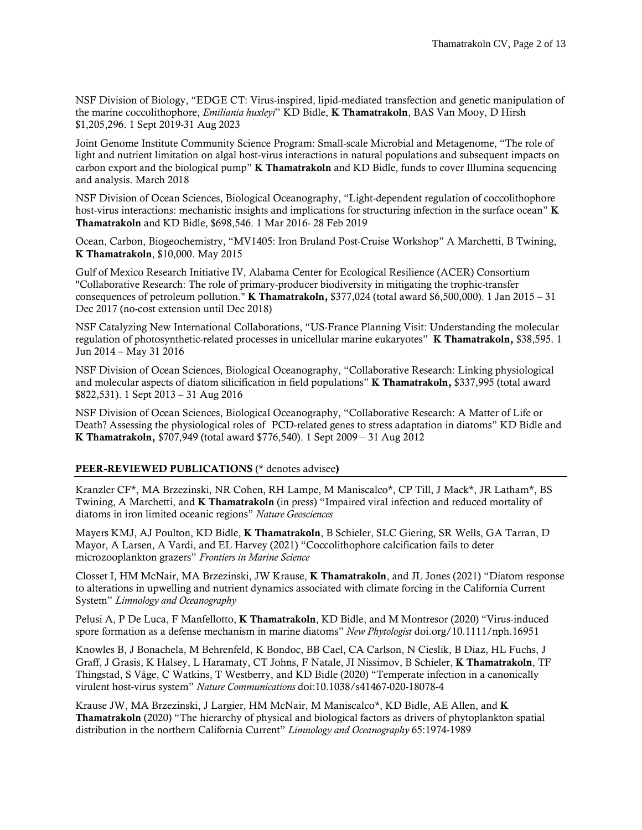NSF Division of Biology, "EDGE CT: Virus-inspired, lipid-mediated transfection and genetic manipulation of the marine coccolithophore, *Emiliania huxleyi*" KD Bidle, K Thamatrakoln, BAS Van Mooy, D Hirsh \$1,205,296. 1 Sept 2019-31 Aug 2023

Joint Genome Institute Community Science Program: Small-scale Microbial and Metagenome, "The role of light and nutrient limitation on algal host-virus interactions in natural populations and subsequent impacts on carbon export and the biological pump" **K Thamatrakoln** and KD Bidle, funds to cover Illumina sequencing and analysis. March 2018

NSF Division of Ocean Sciences, Biological Oceanography, "Light-dependent regulation of coccolithophore host-virus interactions: mechanistic insights and implications for structuring infection in the surface ocean" **K** Thamatrakoln and KD Bidle, \$698,546. 1 Mar 2016- 28 Feb 2019

Ocean, Carbon, Biogeochemistry, "MV1405: Iron Bruland Post-Cruise Workshop" A Marchetti, B Twining, K Thamatrakoln, \$10,000. May 2015

Gulf of Mexico Research Initiative IV, Alabama Center for Ecological Resilience (ACER) Consortium "Collaborative Research: The role of primary-producer biodiversity in mitigating the trophic-transfer consequences of petroleum pollution." **K Thamatrakoln,** \$377,024 (total award \$6,500,000). 1 Jan 2015 – 31 Dec 2017 (no-cost extension until Dec 2018)

NSF Catalyzing New International Collaborations, "US-France Planning Visit: Understanding the molecular regulation of photosynthetic-related processes in unicellular marine eukaryotes" K Thamatrakoln, \$38,595. 1 Jun 2014 – May 31 2016

NSF Division of Ocean Sciences, Biological Oceanography, "Collaborative Research: Linking physiological and molecular aspects of diatom silicification in field populations" K Thamatrakoln, \$337,995 (total award \$822,531). 1 Sept 2013 – 31 Aug 2016

NSF Division of Ocean Sciences, Biological Oceanography, "Collaborative Research: A Matter of Life or Death? Assessing the physiological roles of PCD-related genes to stress adaptation in diatoms" KD Bidle and K Thamatrakoln, \$707,949 (total award \$776,540). 1 Sept 2009 – 31 Aug 2012

#### PEER-REVIEWED PUBLICATIONS (\* denotes advisee)

Kranzler CF\*, MA Brzezinski, NR Cohen, RH Lampe, M Maniscalco\*, CP Till, J Mack\*, JR Latham\*, BS Twining, A Marchetti, and K Thamatrakoln (in press) "Impaired viral infection and reduced mortality of diatoms in iron limited oceanic regions" *Nature Geosciences*

Mayers KMJ, AJ Poulton, KD Bidle, K Thamatrakoln, B Schieler, SLC Giering, SR Wells, GA Tarran, D Mayor, A Larsen, A Vardi, and EL Harvey (2021) "Coccolithophore calcification fails to deter microzooplankton grazers" *Frontiers in Marine Science*

Closset I, HM McNair, MA Brzezinski, JW Krause, K Thamatrakoln, and JL Jones (2021) "Diatom response to alterations in upwelling and nutrient dynamics associated with climate forcing in the California Current System" *Limnology and Oceanography*

Pelusi A, P De Luca, F Manfellotto, K Thamatrakoln, KD Bidle, and M Montresor (2020) "Virus-induced spore formation as a defense mechanism in marine diatoms" *New Phytologist* doi.org/10.1111/nph.16951

Knowles B, J Bonachela, M Behrenfeld, K Bondoc, BB Cael, CA Carlson, N Cieslik, B Diaz, HL Fuchs, J Graff, J Grasis, K Halsey, L Haramaty, CT Johns, F Natale, JI Nissimov, B Schieler, K Thamatrakoln, TF Thingstad, S Våge, C Watkins, T Westberry, and KD Bidle (2020) "Temperate infection in a canonically virulent host-virus system" *Nature Communications* doi:10.1038/s41467-020-18078-4

Krause JW, MA Brzezinski, J Largier, HM McNair, M Maniscalco\*, KD Bidle, AE Allen, and K Thamatrakoln (2020) "The hierarchy of physical and biological factors as drivers of phytoplankton spatial distribution in the northern California Current" *Limnology and Oceanography* 65:1974-1989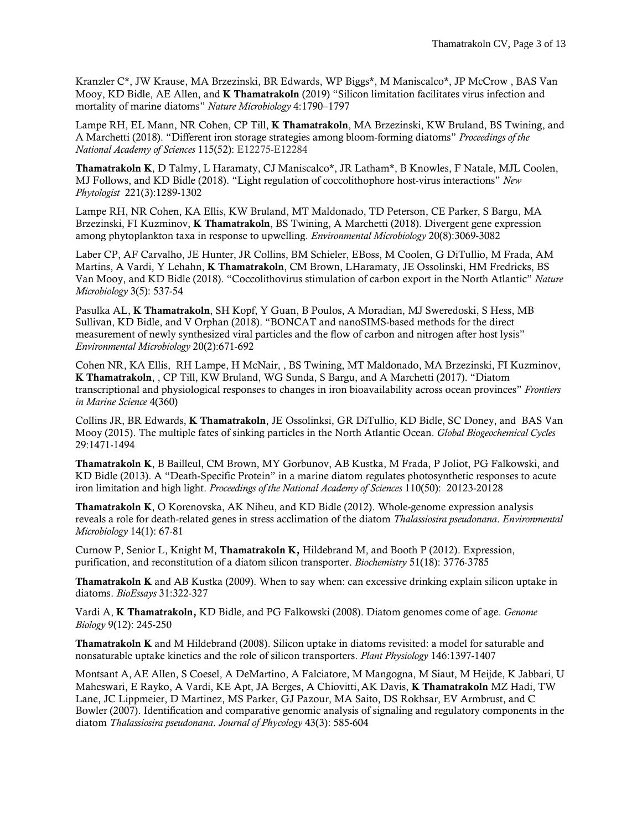Kranzler C\*, JW Krause, MA Brzezinski, BR Edwards, WP Biggs\*, M Maniscalco\*, JP McCrow , BAS Van Mooy, KD Bidle, AE Allen, and K Thamatrakoln (2019) "Silicon limitation facilitates virus infection and mortality of marine diatoms" *Nature Microbiology* 4:1790–1797

Lampe RH, EL Mann, NR Cohen, CP Till, **K Thamatrakoln**, MA Brzezinski, KW Bruland, BS Twining, and A Marchetti (2018). "Different iron storage strategies among bloom-forming diatoms" *Proceedings of the National Academy of Sciences* 115(52): E12275-E12284

Thamatrakoln K, D Talmy, L Haramaty, CJ Maniscalco\*, JR Latham\*, B Knowles, F Natale, MJL Coolen, MJ Follows, and KD Bidle (2018). "Light regulation of coccolithophore host-virus interactions" *New Phytologist* 221(3):1289-1302

Lampe RH, NR Cohen, KA Ellis, KW Bruland, MT Maldonado, TD Peterson, CE Parker, S Bargu, MA Brzezinski, FI Kuzminov, K Thamatrakoln, BS Twining, A Marchetti (2018). Divergent gene expression among phytoplankton taxa in response to upwelling. *Environmental Microbiology* 20(8):3069-3082

Laber CP, AF Carvalho, JE Hunter, JR Collins, BM Schieler, EBoss, M Coolen, G DiTullio, M Frada, AM Martins, A Vardi, Y Lehahn, K Thamatrakoln, CM Brown, LHaramaty, JE Ossolinski, HM Fredricks, BS Van Mooy, and KD Bidle (2018). "Coccolithovirus stimulation of carbon export in the North Atlantic" *Nature Microbiology* 3(5): 537-54

Pasulka AL, K Thamatrakoln, SH Kopf, Y Guan, B Poulos, A Moradian, MJ Sweredoski, S Hess, MB Sullivan, KD Bidle, and V Orphan (2018). "BONCAT and nanoSIMS-based methods for the direct measurement of newly synthesized viral particles and the flow of carbon and nitrogen after host lysis" *Environmental Microbiology* 20(2):671-692

Cohen NR, KA Ellis, RH Lampe, H McNair, , BS Twining, MT Maldonado, MA Brzezinski, FI Kuzminov, K Thamatrakoln, , CP Till, KW Bruland, WG Sunda, S Bargu, and A Marchetti (2017). "Diatom transcriptional and physiological responses to changes in iron bioavailability across ocean provinces" *Frontiers in Marine Science* 4(360)

Collins JR, BR Edwards, K Thamatrakoln, JE Ossolinksi, GR DiTullio, KD Bidle, SC Doney, and BAS Van Mooy (2015). The multiple fates of sinking particles in the North Atlantic Ocean. *Global Biogeochemical Cycles* 29:1471-1494

Thamatrakoln K, B Bailleul, CM Brown, MY Gorbunov, AB Kustka, M Frada, P Joliot, PG Falkowski, and KD Bidle (2013). A "Death-Specific Protein" in a marine diatom regulates photosynthetic responses to acute iron limitation and high light. *Proceedings of the National Academy of Sciences* 110(50): 20123-20128

Thamatrakoln K, O Korenovska, AK Niheu, and KD Bidle (2012). Whole-genome expression analysis reveals a role for death-related genes in stress acclimation of the diatom *Thalassiosira pseudonana*. *Environmental Microbiology* 14(1): 67-81

Curnow P, Senior L, Knight M, Thamatrakoln K, Hildebrand M, and Booth P (2012). Expression, purification, and reconstitution of a diatom silicon transporter. *Biochemistry* 51(18): 3776-3785

Thamatrakoln K and AB Kustka (2009). When to say when: can excessive drinking explain silicon uptake in diatoms. *BioEssays* 31:322-327

Vardi A, K Thamatrakoln, KD Bidle, and PG Falkowski (2008). Diatom genomes come of age. *Genome Biology* 9(12): 245-250

Thamatrakoln K and M Hildebrand (2008). Silicon uptake in diatoms revisited: a model for saturable and nonsaturable uptake kinetics and the role of silicon transporters. *Plant Physiology* 146:1397-1407

Montsant A, AE Allen, S Coesel, A DeMartino, A Falciatore, M Mangogna, M Siaut, M Heijde, K Jabbari, U Maheswari, E Rayko, A Vardi, KE Apt, JA Berges, A Chiovitti, AK Davis, K Thamatrakoln MZ Hadi, TW Lane, JC Lippmeier, D Martinez, MS Parker, GJ Pazour, MA Saito, DS Rokhsar, EV Armbrust, and C Bowler (2007). Identification and comparative genomic analysis of signaling and regulatory components in the diatom *Thalassiosira pseudonana*. *Journal of Phycology* 43(3): 585-604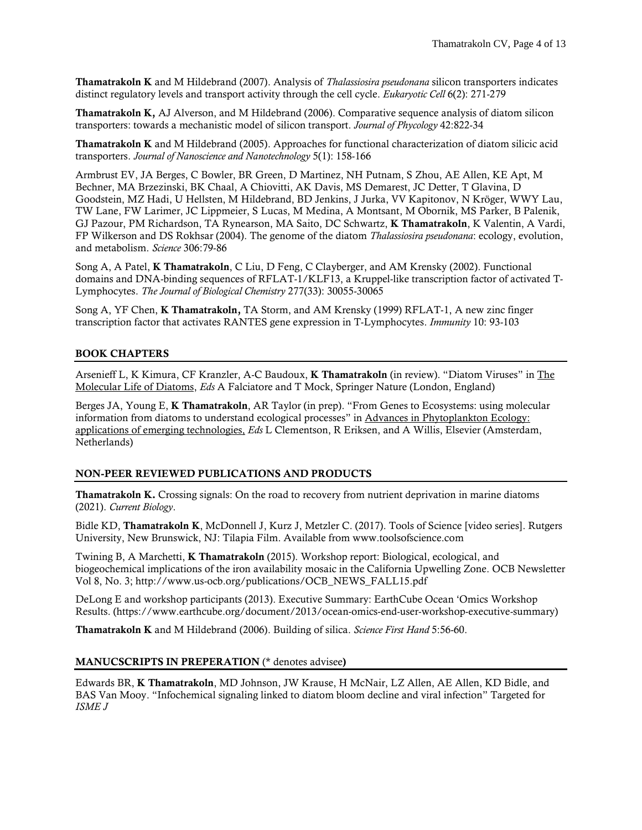Thamatrakoln K and M Hildebrand (2007). Analysis of *Thalassiosira pseudonana* silicon transporters indicates distinct regulatory levels and transport activity through the cell cycle. *Eukaryotic Cell* 6(2): 271-279

Thamatrakoln K, AJ Alverson, and M Hildebrand (2006). Comparative sequence analysis of diatom silicon transporters: towards a mechanistic model of silicon transport. *Journal of Phycology* 42:822-34

Thamatrakoln K and M Hildebrand (2005). Approaches for functional characterization of diatom silicic acid transporters. *Journal of Nanoscience and Nanotechnology* 5(1): 158-166

Armbrust EV, JA Berges, C Bowler, BR Green, D Martinez, NH Putnam, S Zhou, AE Allen, KE Apt, M Bechner, MA Brzezinski, BK Chaal, A Chiovitti, AK Davis, MS Demarest, JC Detter, T Glavina, D Goodstein, MZ Hadi, U Hellsten, M Hildebrand, BD Jenkins, J Jurka, VV Kapitonov, N Kröger, WWY Lau, TW Lane, FW Larimer, JC Lippmeier, S Lucas, M Medina, A Montsant, M Obornik, MS Parker, B Palenik, GJ Pazour, PM Richardson, TA Rynearson, MA Saito, DC Schwartz, K Thamatrakoln, K Valentin, A Vardi, FP Wilkerson and DS Rokhsar (2004). The genome of the diatom *Thalassiosira pseudonana*: ecology, evolution, and metabolism. *Science* 306:79-86

Song A, A Patel, K Thamatrakoln, C Liu, D Feng, C Clayberger, and AM Krensky (2002). Functional domains and DNA-binding sequences of RFLAT-1/KLF13, a Kruppel-like transcription factor of activated T-Lymphocytes. *The Journal of Biological Chemistry* 277(33): 30055-30065

Song A, YF Chen, K Thamatrakoln, TA Storm, and AM Krensky (1999) RFLAT-1, A new zinc finger transcription factor that activates RANTES gene expression in T-Lymphocytes. *Immunity* 10: 93-103

# BOOK CHAPTERS

Arsenieff L, K Kimura, CF Kranzler, A-C Baudoux, K Thamatrakoln (in review). "Diatom Viruses" in The Molecular Life of Diatoms, *Eds* A Falciatore and T Mock, Springer Nature (London, England)

Berges JA, Young E, K Thamatrakoln, AR Taylor (in prep). "From Genes to Ecosystems: using molecular information from diatoms to understand ecological processes" in Advances in Phytoplankton Ecology: applications of emerging technologies, *Eds* L Clementson, R Eriksen, and A Willis, Elsevier (Amsterdam, Netherlands)

#### NON-PEER REVIEWED PUBLICATIONS AND PRODUCTS

Thamatrakoln K. Crossing signals: On the road to recovery from nutrient deprivation in marine diatoms (2021). *Current Biology*.

Bidle KD, Thamatrakoln K, McDonnell J, Kurz J, Metzler C. (2017). Tools of Science [video series]. Rutgers University, New Brunswick, NJ: Tilapia Film. Available from www.toolsofscience.com

Twining B, A Marchetti, K Thamatrakoln (2015). Workshop report: Biological, ecological, and biogeochemical implications of the iron availability mosaic in the California Upwelling Zone. OCB Newsletter Vol 8, No. 3; http://www.us-ocb.org/publications/OCB\_NEWS\_FALL15.pdf

DeLong E and workshop participants (2013). Executive Summary: EarthCube Ocean 'Omics Workshop Results. (https://www.earthcube.org/document/2013/ocean-omics-end-user-workshop-executive-summary)

Thamatrakoln K and M Hildebrand (2006). Building of silica. *Science First Hand* 5:56-60.

#### MANUCSCRIPTS IN PREPERATION (\* denotes advisee)

Edwards BR, K Thamatrakoln, MD Johnson, JW Krause, H McNair, LZ Allen, AE Allen, KD Bidle, and BAS Van Mooy. "Infochemical signaling linked to diatom bloom decline and viral infection" Targeted for *ISME J*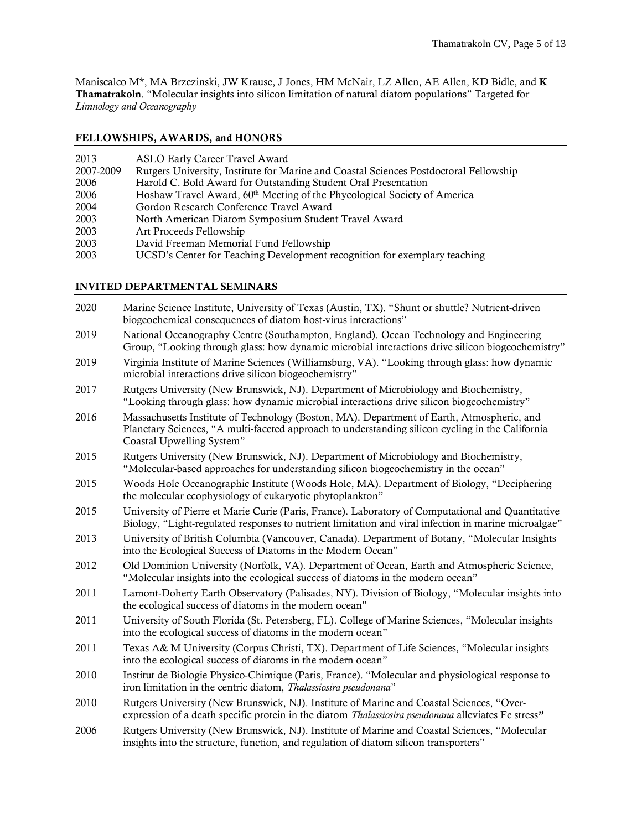Maniscalco M\*, MA Brzezinski, JW Krause, J Jones, HM McNair, LZ Allen, AE Allen, KD Bidle, and K Thamatrakoln. "Molecular insights into silicon limitation of natural diatom populations" Targeted for *Limnology and Oceanography*

# FELLOWSHIPS, AWARDS, and HONORS

| 2013      | ASLO Early Career Travel Award                                                        |
|-----------|---------------------------------------------------------------------------------------|
| 2007-2009 | Rutgers University, Institute for Marine and Coastal Sciences Postdoctoral Fellowship |
| 2006      | Harold C. Bold Award for Outstanding Student Oral Presentation                        |
| 2006      | Hoshaw Travel Award, 60 <sup>th</sup> Meeting of the Phycological Society of America  |
| 2004      | Gordon Research Conference Travel Award                                               |
| 2003      | North American Diatom Symposium Student Travel Award                                  |
| 2003      | Art Proceeds Fellowship                                                               |
| 2003      | David Freeman Memorial Fund Fellowship                                                |
| 2003      | UCSD's Center for Teaching Development recognition for exemplary teaching             |
|           |                                                                                       |

# INVITED DEPARTMENTAL SEMINARS

| 2020 | Marine Science Institute, University of Texas (Austin, TX). "Shunt or shuttle? Nutrient-driven<br>biogeochemical consequences of diatom host-virus interactions"                                                           |
|------|----------------------------------------------------------------------------------------------------------------------------------------------------------------------------------------------------------------------------|
| 2019 | National Oceanography Centre (Southampton, England). Ocean Technology and Engineering<br>Group, "Looking through glass: how dynamic microbial interactions drive silicon biogeochemistry"                                  |
| 2019 | Virginia Institute of Marine Sciences (Williamsburg, VA). "Looking through glass: how dynamic<br>microbial interactions drive silicon biogeochemistry"                                                                     |
| 2017 | Rutgers University (New Brunswick, NJ). Department of Microbiology and Biochemistry,<br>"Looking through glass: how dynamic microbial interactions drive silicon biogeochemistry"                                          |
| 2016 | Massachusetts Institute of Technology (Boston, MA). Department of Earth, Atmospheric, and<br>Planetary Sciences, "A multi-faceted approach to understanding silicon cycling in the California<br>Coastal Upwelling System" |
| 2015 | Rutgers University (New Brunswick, NJ). Department of Microbiology and Biochemistry,<br>"Molecular-based approaches for understanding silicon biogeochemistry in the ocean"                                                |
| 2015 | Woods Hole Oceanographic Institute (Woods Hole, MA). Department of Biology, "Deciphering<br>the molecular ecophysiology of eukaryotic phytoplankton"                                                                       |
| 2015 | University of Pierre et Marie Curie (Paris, France). Laboratory of Computational and Quantitative<br>Biology, "Light-regulated responses to nutrient limitation and viral infection in marine microalgae"                  |
| 2013 | University of British Columbia (Vancouver, Canada). Department of Botany, "Molecular Insights<br>into the Ecological Success of Diatoms in the Modern Ocean"                                                               |
| 2012 | Old Dominion University (Norfolk, VA). Department of Ocean, Earth and Atmospheric Science,<br>"Molecular insights into the ecological success of diatoms in the modern ocean"                                              |
| 2011 | Lamont-Doherty Earth Observatory (Palisades, NY). Division of Biology, "Molecular insights into<br>the ecological success of diatoms in the modern ocean"                                                                  |
| 2011 | University of South Florida (St. Petersberg, FL). College of Marine Sciences, "Molecular insights<br>into the ecological success of diatoms in the modern ocean"                                                           |
| 2011 | Texas A& M University (Corpus Christi, TX). Department of Life Sciences, "Molecular insights<br>into the ecological success of diatoms in the modern ocean"                                                                |
| 2010 | Institut de Biologie Physico-Chimique (Paris, France). "Molecular and physiological response to<br>iron limitation in the centric diatom, Thalassiosira pseudonana"                                                        |
| 2010 | Rutgers University (New Brunswick, NJ). Institute of Marine and Coastal Sciences, "Over-<br>expression of a death specific protein in the diatom <i>Thalassiosira pseudonana</i> alleviates Fe stress"                     |
| 2006 | Rutgers University (New Brunswick, NJ). Institute of Marine and Coastal Sciences, "Molecular<br>insights into the structure, function, and regulation of diatom silicon transporters"                                      |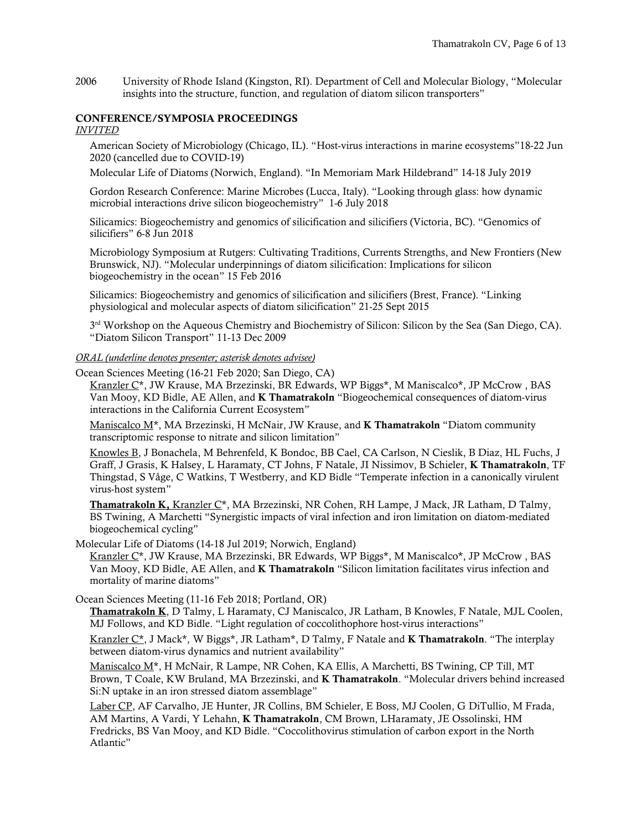2006 University of Rhode Island (Kingston, RI). Department of Cell and Molecular Biology, "Molecular insights into the structure, function, and regulation of diatom silicon transporters"

# CONFERENCE/SYMPOSIA PROCEEDINGS

# *INVITED*

American Society of Microbiology (Chicago, IL). "Host-virus interactions in marine ecosystems"18-22 Jun 2020 (cancelled due to COVID-19)

Molecular Life of Diatoms (Norwich, England). "In Memoriam Mark Hildebrand" 14-18 July 2019

Gordon Research Conference: Marine Microbes (Lucca, Italy). "Looking through glass: how dynamic microbial interactions drive silicon biogeochemistry" 1-6 July 2018

Silicamics: Biogeochemistry and genomics of silicification and silicifiers (Victoria, BC). "Genomics of silicifiers" 6-8 Jun 2018

Microbiology Symposium at Rutgers: Cultivating Traditions, Currents Strengths, and New Frontiers (New Brunswick, NJ). "Molecular underpinnings of diatom silicification: Implications for silicon biogeochemistry in the ocean" 15 Feb 2016

Silicamics: Biogeochemistry and genomics of silicification and silicifiers (Brest, France). "Linking physiological and molecular aspects of diatom silicification" 21-25 Sept 2015

 $3<sup>rd</sup>$  Workshop on the Aqueous Chemistry and Biochemistry of Silicon: Silicon by the Sea (San Diego, CA). "Diatom Silicon Transport" 11-13 Dec 2009

*ORAL (underline denotes presenter; asterisk denotes advisee)*

Ocean Sciences Meeting (16-21 Feb 2020; San Diego, CA)

Kranzler C\*, JW Krause, MA Brzezinski, BR Edwards, WP Biggs\*, M Maniscalco\*, JP McCrow, BAS Van Mooy, KD Bidle, AE Allen, and K Thamatrakoln "Biogeochemical consequences of diatom-virus interactions in the California Current Ecosystem"

Maniscalco  $M^*$ , MA Brzezinski, H McNair, JW Krause, and **K Thamatrakoln** "Diatom community transcriptomic response to nitrate and silicon limitation"

Knowles B, J Bonachela, M Behrenfeld, K Bondoc, BB Cael, CA Carlson, N Cieslik, B Diaz, HL Fuchs, J Graff, J Grasis, K Halsey, L Haramaty, CT Johns, F Natale, JI Nissimov, B Schieler, K Thamatrakoln, TF Thingstad, S Våge, C Watkins, T Westberry, and KD Bidle "Temperate infection in a canonically virulent virus-host system"

Thamatrakoln K, Kranzler C\*, MA Brzezinski, NR Cohen, RH Lampe, J Mack, JR Latham, D Talmy, BS Twining, A Marchetti "Synergistic impacts of viral infection and iron limitation on diatom-mediated biogeochemical cycling"

Molecular Life of Diatoms (14-18 Jul 2019; Norwich, England)

Kranzler C<sup>\*</sup>, JW Krause, MA Brzezinski, BR Edwards, WP Biggs<sup>\*</sup>, M Maniscalco<sup>\*</sup>, JP McCrow, BAS Van Mooy, KD Bidle, AE Allen, and **K Thamatrakoln** "Silicon limitation facilitates virus infection and mortality of marine diatoms"

Ocean Sciences Meeting (11-16 Feb 2018; Portland, OR)

Thamatrakoln K, D Talmy, L Haramaty, CJ Maniscalco, JR Latham, B Knowles, F Natale, MJL Coolen, MJ Follows, and KD Bidle. "Light regulation of coccolithophore host-virus interactions"

Kranzler C<sup>\*</sup>, J Mack<sup>\*</sup>, W Biggs<sup>\*</sup>, JR Latham<sup>\*</sup>, D Talmy, F Natale and **K Thamatrakoln**. "The interplay between diatom-virus dynamics and nutrient availability"

Maniscalco M\*, H McNair, R Lampe, NR Cohen, KA Ellis, A Marchetti, BS Twining, CP Till, MT Brown, T Coale, KW Bruland, MA Brzezinski, and K Thamatrakoln. "Molecular drivers behind increased Si:N uptake in an iron stressed diatom assemblage"

Laber CP, AF Carvalho, JE Hunter, JR Collins, BM Schieler, E Boss, MJ Coolen, G DiTullio, M Frada, AM Martins, A Vardi, Y Lehahn, K Thamatrakoln, CM Brown, LHaramaty, JE Ossolinski, HM Fredricks, BS Van Mooy, and KD Bidle. "Coccolithovirus stimulation of carbon export in the North Atlantic"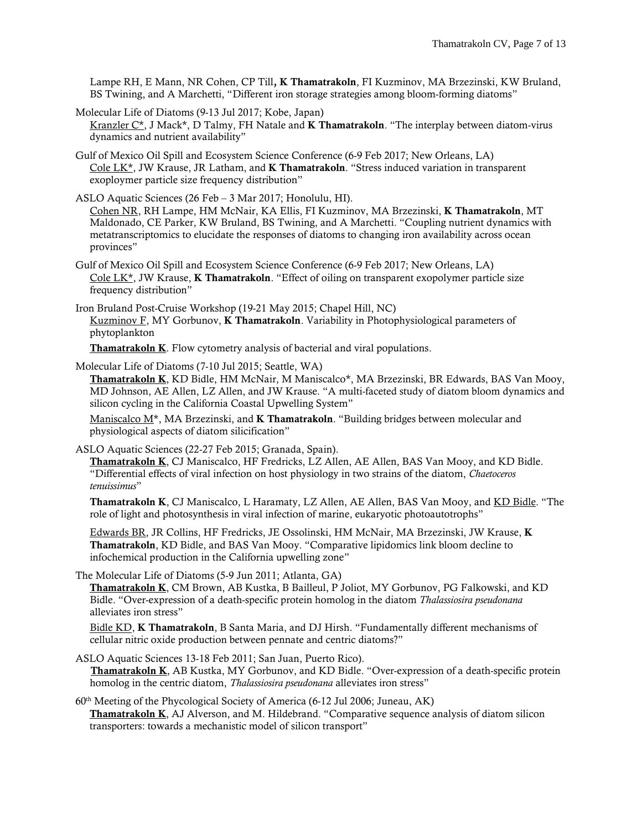Lampe RH, E Mann, NR Cohen, CP Till, K Thamatrakoln, FI Kuzminov, MA Brzezinski, KW Bruland, BS Twining, and A Marchetti, "Different iron storage strategies among bloom-forming diatoms"

Molecular Life of Diatoms (9-13 Jul 2017; Kobe, Japan) Kranzler  $C^*$ , J Mack\*, D Talmy, FH Natale and **K Thamatrakoln**. "The interplay between diatom-virus dynamics and nutrient availability"

Gulf of Mexico Oil Spill and Ecosystem Science Conference (6-9 Feb 2017; New Orleans, LA) Cole LK\*, JW Krause, JR Latham, and **K Thamatrakoln**. "Stress induced variation in transparent exoploymer particle size frequency distribution"

ASLO Aquatic Sciences (26 Feb – 3 Mar 2017; Honolulu, HI). Cohen NR, RH Lampe, HM McNair, KA Ellis, FI Kuzminov, MA Brzezinski, K Thamatrakoln, MT Maldonado, CE Parker, KW Bruland, BS Twining, and A Marchetti. "Coupling nutrient dynamics with metatranscriptomics to elucidate the responses of diatoms to changing iron availability across ocean provinces"

Gulf of Mexico Oil Spill and Ecosystem Science Conference (6-9 Feb 2017; New Orleans, LA) Cole  $LK^*$ , JW Krause, **K Thamatrakoln**. "Effect of oiling on transparent exopolymer particle size frequency distribution"

Iron Bruland Post-Cruise Workshop (19-21 May 2015; Chapel Hill, NC) Kuzminov F, MY Gorbunov, K Thamatrakoln. Variability in Photophysiological parameters of phytoplankton

Thamatrakoln K. Flow cytometry analysis of bacterial and viral populations.

Molecular Life of Diatoms (7-10 Jul 2015; Seattle, WA)

Thamatrakoln K, KD Bidle, HM McNair, M Maniscalco\*, MA Brzezinski, BR Edwards, BAS Van Mooy, MD Johnson, AE Allen, LZ Allen, and JW Krause. "A multi-faceted study of diatom bloom dynamics and silicon cycling in the California Coastal Upwelling System"

Maniscalco  $M^*$ , MA Brzezinski, and **K Thamatrakoln**. "Building bridges between molecular and physiological aspects of diatom silicification"

ASLO Aquatic Sciences (22-27 Feb 2015; Granada, Spain).

Thamatrakoln K, CJ Maniscalco, HF Fredricks, LZ Allen, AE Allen, BAS Van Mooy, and KD Bidle. "Differential effects of viral infection on host physiology in two strains of the diatom, *Chaetoceros tenuissimus*"

Thamatrakoln K, CJ Maniscalco, L Haramaty, LZ Allen, AE Allen, BAS Van Mooy, and KD Bidle. "The role of light and photosynthesis in viral infection of marine, eukaryotic photoautotrophs"

Edwards BR, JR Collins, HF Fredricks, JE Ossolinski, HM McNair, MA Brzezinski, JW Krause, K Thamatrakoln, KD Bidle, and BAS Van Mooy. "Comparative lipidomics link bloom decline to infochemical production in the California upwelling zone"

The Molecular Life of Diatoms (5-9 Jun 2011; Atlanta, GA)

Thamatrakoln K, CM Brown, AB Kustka, B Bailleul, P Joliot, MY Gorbunov, PG Falkowski, and KD Bidle. "Over-expression of a death-specific protein homolog in the diatom *Thalassiosira pseudonana* alleviates iron stress"

Bidle KD, K Thamatrakoln, B Santa Maria, and DJ Hirsh. "Fundamentally different mechanisms of cellular nitric oxide production between pennate and centric diatoms?"

ASLO Aquatic Sciences 13-18 Feb 2011; San Juan, Puerto Rico).

Thamatrakoln K, AB Kustka, MY Gorbunov, and KD Bidle. "Over-expression of a death-specific protein homolog in the centric diatom, *Thalassiosira pseudonana* alleviates iron stress"

60th Meeting of the Phycological Society of America (6-12 Jul 2006; Juneau, AK) Thamatrakoln K, AJ Alverson, and M. Hildebrand. "Comparative sequence analysis of diatom silicon transporters: towards a mechanistic model of silicon transport"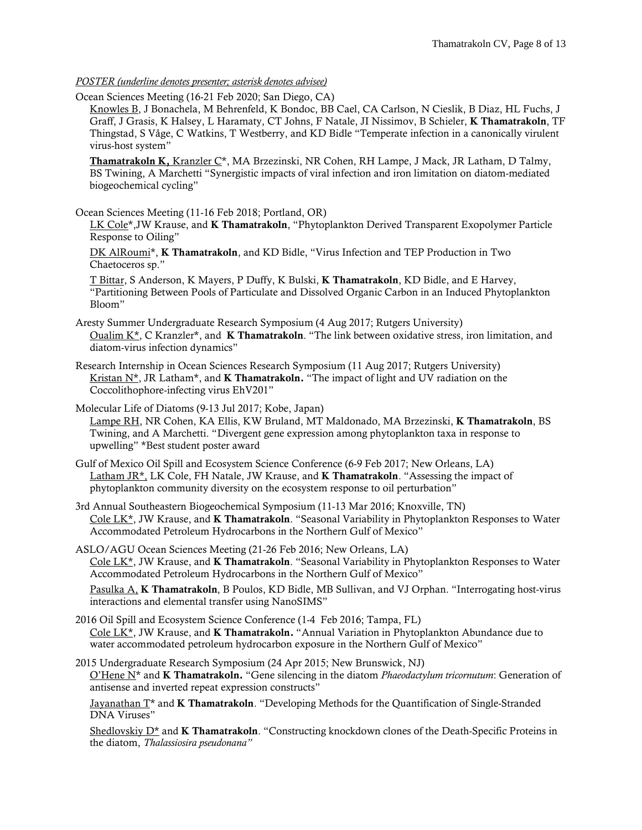*POSTER (underline denotes presenter; asterisk denotes advisee)*

Ocean Sciences Meeting (16-21 Feb 2020; San Diego, CA)

Knowles B, J Bonachela, M Behrenfeld, K Bondoc, BB Cael, CA Carlson, N Cieslik, B Diaz, HL Fuchs, J Graff, J Grasis, K Halsey, L Haramaty, CT Johns, F Natale, JI Nissimov, B Schieler, K Thamatrakoln, TF Thingstad, S Våge, C Watkins, T Westberry, and KD Bidle "Temperate infection in a canonically virulent virus-host system"

Thamatrakoln K, Kranzler C\*, MA Brzezinski, NR Cohen, RH Lampe, J Mack, JR Latham, D Talmy, BS Twining, A Marchetti "Synergistic impacts of viral infection and iron limitation on diatom-mediated biogeochemical cycling"

Ocean Sciences Meeting (11-16 Feb 2018; Portland, OR)

LK Cole\*, JW Krause, and K Thamatrakoln, "Phytoplankton Derived Transparent Exopolymer Particle Response to Oiling"

DK AlRoumi\*, K Thamatrakoln, and KD Bidle, "Virus Infection and TEP Production in Two Chaetoceros sp."

T Bittar, S Anderson, K Mayers, P Duffy, K Bulski, K Thamatrakoln, KD Bidle, and E Harvey, "Partitioning Between Pools of Particulate and Dissolved Organic Carbon in an Induced Phytoplankton Bloom"

Aresty Summer Undergraduate Research Symposium (4 Aug 2017; Rutgers University) Oualim K\*, C Kranzler\*, and K Thamatrakoln. "The link between oxidative stress, iron limitation, and diatom-virus infection dynamics"

Research Internship in Ocean Sciences Research Symposium (11 Aug 2017; Rutgers University) Kristan N<sup>\*</sup>, JR Latham<sup>\*</sup>, and **K Thamatrakoln.** "The impact of light and UV radiation on the Coccolithophore-infecting virus EhV201"

Molecular Life of Diatoms (9-13 Jul 2017; Kobe, Japan) Lampe RH, NR Cohen, KA Ellis, KW Bruland, MT Maldonado, MA Brzezinski, K Thamatrakoln, BS Twining, and A Marchetti. "Divergent gene expression among phytoplankton taxa in response to upwelling" \*Best student poster award

Gulf of Mexico Oil Spill and Ecosystem Science Conference (6-9 Feb 2017; New Orleans, LA) Latham JR<sup>\*</sup>, LK Cole, FH Natale, JW Krause, and **K Thamatrakoln**. "Assessing the impact of phytoplankton community diversity on the ecosystem response to oil perturbation"

3rd Annual Southeastern Biogeochemical Symposium (11-13 Mar 2016; Knoxville, TN) Cole LK<sup>\*</sup>, JW Krause, and **K Thamatrakoln**. "Seasonal Variability in Phytoplankton Responses to Water Accommodated Petroleum Hydrocarbons in the Northern Gulf of Mexico"

ASLO/AGU Ocean Sciences Meeting (21-26 Feb 2016; New Orleans, LA) Cole LK<sup>\*</sup>, JW Krause, and **K Thamatrakoln**. "Seasonal Variability in Phytoplankton Responses to Water Accommodated Petroleum Hydrocarbons in the Northern Gulf of Mexico"

Pasulka A, K Thamatrakoln, B Poulos, KD Bidle, MB Sullivan, and VJ Orphan. "Interrogating host-virus interactions and elemental transfer using NanoSIMS"

- 2016 Oil Spill and Ecosystem Science Conference (1-4 Feb 2016; Tampa, FL) Cole LK<sup>\*</sup>, JW Krause, and **K Thamatrakoln.** "Annual Variation in Phytoplankton Abundance due to water accommodated petroleum hydrocarbon exposure in the Northern Gulf of Mexico"
- 2015 Undergraduate Research Symposium (24 Apr 2015; New Brunswick, NJ) O'Hene N\* and K Thamatrakoln. "Gene silencing in the diatom *Phaeodactylum tricornutum*: Generation of antisense and inverted repeat expression constructs"

Jayanathan  $T^*$  and **K Thamatrakoln**. "Developing Methods for the Quantification of Single-Stranded DNA Viruses"

Shedlovskiy  $D^*$  and **K Thamatrakoln**. "Constructing knockdown clones of the Death-Specific Proteins in the diatom, *Thalassiosira pseudonana"*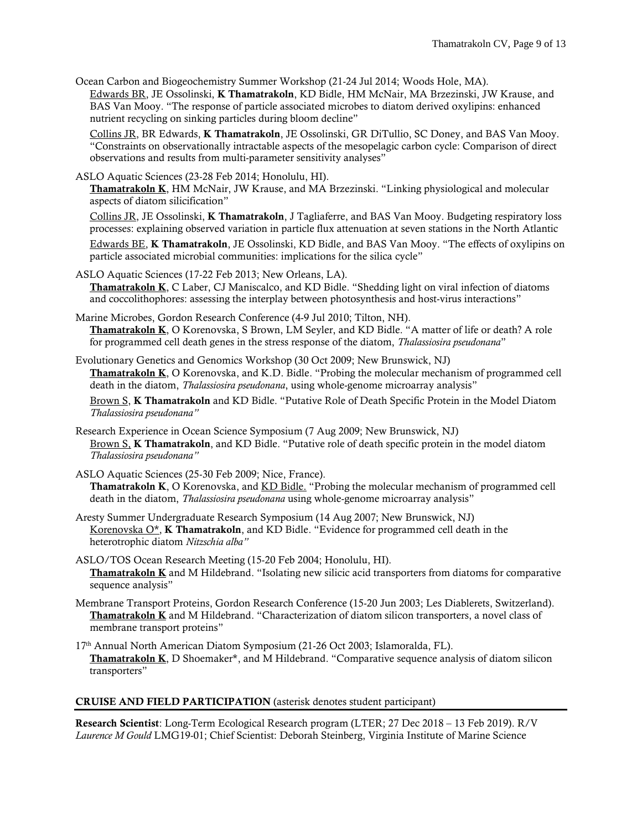Ocean Carbon and Biogeochemistry Summer Workshop (21-24 Jul 2014; Woods Hole, MA).

Edwards BR, JE Ossolinski, K Thamatrakoln, KD Bidle, HM McNair, MA Brzezinski, JW Krause, and BAS Van Mooy. "The response of particle associated microbes to diatom derived oxylipins: enhanced nutrient recycling on sinking particles during bloom decline"

Collins JR, BR Edwards, K Thamatrakoln, JE Ossolinski, GR DiTullio, SC Doney, and BAS Van Mooy. "Constraints on observationally intractable aspects of the mesopelagic carbon cycle: Comparison of direct observations and results from multi-parameter sensitivity analyses"

#### ASLO Aquatic Sciences (23-28 Feb 2014; Honolulu, HI).

Thamatrakoln K, HM McNair, JW Krause, and MA Brzezinski. "Linking physiological and molecular aspects of diatom silicification"

Collins JR, JE Ossolinski, K Thamatrakoln, J Tagliaferre, and BAS Van Mooy. Budgeting respiratory loss processes: explaining observed variation in particle flux attenuation at seven stations in the North Atlantic

Edwards BE, K Thamatrakoln, JE Ossolinski, KD Bidle, and BAS Van Mooy. "The effects of oxylipins on particle associated microbial communities: implications for the silica cycle"

ASLO Aquatic Sciences (17-22 Feb 2013; New Orleans, LA).

Thamatrakoln K, C Laber, CJ Maniscalco, and KD Bidle. "Shedding light on viral infection of diatoms and coccolithophores: assessing the interplay between photosynthesis and host-virus interactions"

Marine Microbes, Gordon Research Conference (4-9 Jul 2010; Tilton, NH). Thamatrakoln K, O Korenovska, S Brown, LM Seyler, and KD Bidle. "A matter of life or death? A role for programmed cell death genes in the stress response of the diatom, *Thalassiosira pseudonana*"

Evolutionary Genetics and Genomics Workshop (30 Oct 2009; New Brunswick, NJ) Thamatrakoln K, O Korenovska, and K.D. Bidle. "Probing the molecular mechanism of programmed cell death in the diatom, *Thalassiosira pseudonana*, using whole-genome microarray analysis"

Brown S, K Thamatrakoln and KD Bidle. "Putative Role of Death Specific Protein in the Model Diatom *Thalassiosira pseudonana"*

- Research Experience in Ocean Science Symposium (7 Aug 2009; New Brunswick, NJ) Brown S, K Thamatrakoln, and KD Bidle. "Putative role of death specific protein in the model diatom *Thalassiosira pseudonana"*
- ASLO Aquatic Sciences (25-30 Feb 2009; Nice, France). Thamatrakoln K, O Korenovska, and KD Bidle. "Probing the molecular mechanism of programmed cell death in the diatom, *Thalassiosira pseudonana* using whole-genome microarray analysis"
- Aresty Summer Undergraduate Research Symposium (14 Aug 2007; New Brunswick, NJ) Korenovska  $O^*$ , K Thamatrakoln, and KD Bidle. "Evidence for programmed cell death in the heterotrophic diatom *Nitzschia alba"*
- ASLO/TOS Ocean Research Meeting (15-20 Feb 2004; Honolulu, HI). Thamatrakoln K and M Hildebrand. "Isolating new silicic acid transporters from diatoms for comparative sequence analysis"
- Membrane Transport Proteins, Gordon Research Conference (15-20 Jun 2003; Les Diablerets, Switzerland). Thamatrakoln K and M Hildebrand. "Characterization of diatom silicon transporters, a novel class of membrane transport proteins"
- 17th Annual North American Diatom Symposium (21-26 Oct 2003; Islamoralda, FL). Thamatrakoln K, D Shoemaker\*, and M Hildebrand. "Comparative sequence analysis of diatom silicon transporters"

#### CRUISE AND FIELD PARTICIPATION (asterisk denotes student participant)

Research Scientist: Long-Term Ecological Research program (LTER; 27 Dec 2018 – 13 Feb 2019). R/V *Laurence M Gould* LMG19-01; Chief Scientist: Deborah Steinberg, Virginia Institute of Marine Science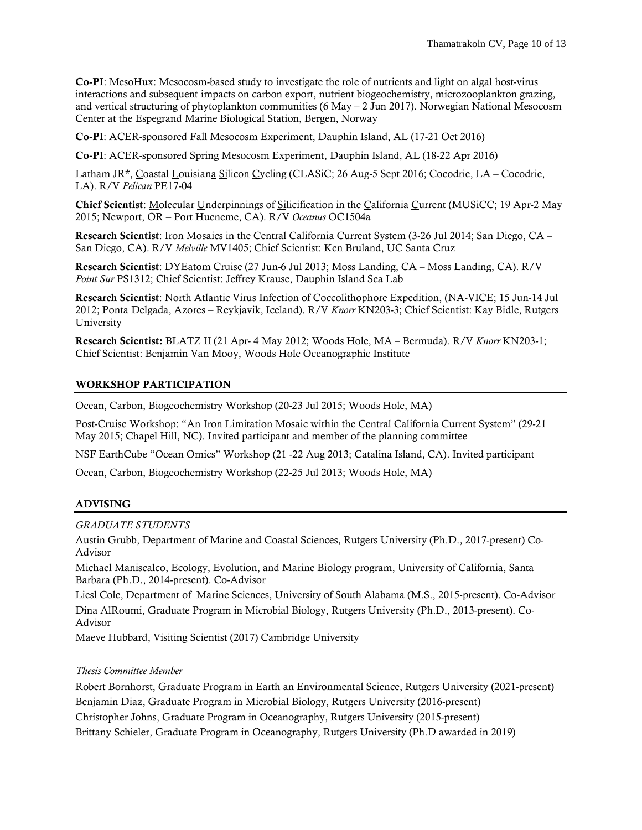Co-PI: MesoHux: Mesocosm-based study to investigate the role of nutrients and light on algal host-virus interactions and subsequent impacts on carbon export, nutrient biogeochemistry, microzooplankton grazing, and vertical structuring of phytoplankton communities (6 May – 2 Jun 2017). Norwegian National Mesocosm Center at the Espegrand Marine Biological Station, Bergen, Norway

Co-PI: ACER-sponsored Fall Mesocosm Experiment, Dauphin Island, AL (17-21 Oct 2016)

Co-PI: ACER-sponsored Spring Mesocosm Experiment, Dauphin Island, AL (18-22 Apr 2016)

Latham JR\*, Coastal Louisiana Silicon Cycling (CLASiC; 26 Aug-5 Sept 2016; Cocodrie, LA – Cocodrie, LA). R/V *Pelican* PE17-04

Chief Scientist: Molecular Underpinnings of Silicification in the California Current (MUSiCC; 19 Apr-2 May 2015; Newport, OR – Port Hueneme, CA). R/V *Oceanus* OC1504a

Research Scientist: Iron Mosaics in the Central California Current System (3-26 Jul 2014; San Diego, CA – San Diego, CA). R/V *Melville* MV1405; Chief Scientist: Ken Bruland, UC Santa Cruz

Research Scientist: DYEatom Cruise (27 Jun-6 Jul 2013; Moss Landing, CA – Moss Landing, CA). R/V *Point Sur* PS1312; Chief Scientist: Jeffrey Krause, Dauphin Island Sea Lab

Research Scientist: North Atlantic Virus Infection of Coccolithophore Expedition, (NA-VICE; 15 Jun-14 Jul 2012; Ponta Delgada, Azores – Reykjavik, Iceland). R/V *Knorr* KN203-3; Chief Scientist: Kay Bidle, Rutgers University

Research Scientist: BLATZ II (21 Apr- 4 May 2012; Woods Hole, MA – Bermuda). R/V *Knorr* KN203-1; Chief Scientist: Benjamin Van Mooy, Woods Hole Oceanographic Institute

# WORKSHOP PARTICIPATION

Ocean, Carbon, Biogeochemistry Workshop (20-23 Jul 2015; Woods Hole, MA)

Post-Cruise Workshop: "An Iron Limitation Mosaic within the Central California Current System" (29-21 May 2015; Chapel Hill, NC). Invited participant and member of the planning committee

NSF EarthCube "Ocean Omics" Workshop (21 -22 Aug 2013; Catalina Island, CA). Invited participant

Ocean, Carbon, Biogeochemistry Workshop (22-25 Jul 2013; Woods Hole, MA)

# ADVISING

#### *GRADUATE STUDENTS*

Austin Grubb, Department of Marine and Coastal Sciences, Rutgers University (Ph.D., 2017-present) Co-Advisor

Michael Maniscalco, Ecology, Evolution, and Marine Biology program, University of California, Santa Barbara (Ph.D., 2014-present). Co-Advisor

Liesl Cole, Department of Marine Sciences, University of South Alabama (M.S., 2015-present). Co-Advisor Dina AlRoumi, Graduate Program in Microbial Biology, Rutgers University (Ph.D., 2013-present). Co-Advisor

Maeve Hubbard, Visiting Scientist (2017) Cambridge University

### *Thesis Committee Member*

Robert Bornhorst, Graduate Program in Earth an Environmental Science, Rutgers University (2021-present) Benjamin Diaz, Graduate Program in Microbial Biology, Rutgers University (2016-present) Christopher Johns, Graduate Program in Oceanography, Rutgers University (2015-present) Brittany Schieler, Graduate Program in Oceanography, Rutgers University (Ph.D awarded in 2019)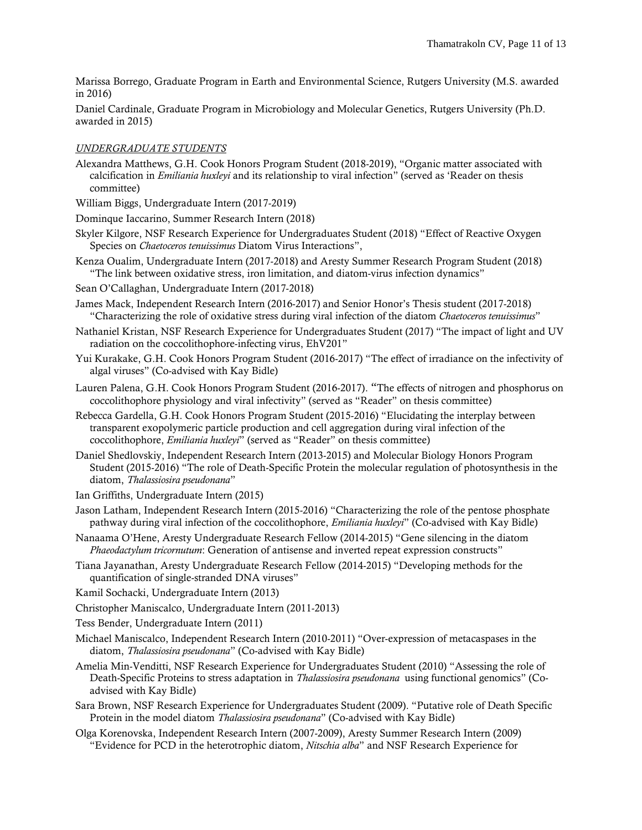Marissa Borrego, Graduate Program in Earth and Environmental Science, Rutgers University (M.S. awarded in 2016)

Daniel Cardinale, Graduate Program in Microbiology and Molecular Genetics, Rutgers University (Ph.D. awarded in 2015)

# *UNDERGRADUATE STUDENTS*

- Alexandra Matthews, G.H. Cook Honors Program Student (2018-2019), "Organic matter associated with calcification in *Emiliania huxleyi* and its relationship to viral infection" (served as 'Reader on thesis committee)
- William Biggs, Undergraduate Intern (2017-2019)
- Dominque Iaccarino, Summer Research Intern (2018)
- Skyler Kilgore, NSF Research Experience for Undergraduates Student (2018) "Effect of Reactive Oxygen Species on *Chaetoceros tenuissimus* Diatom Virus Interactions",
- Kenza Oualim, Undergraduate Intern (2017-2018) and Aresty Summer Research Program Student (2018) "The link between oxidative stress, iron limitation, and diatom-virus infection dynamics"
- Sean O'Callaghan, Undergraduate Intern (2017-2018)
- James Mack, Independent Research Intern (2016-2017) and Senior Honor's Thesis student (2017-2018) "Characterizing the role of oxidative stress during viral infection of the diatom *Chaetoceros tenuissimus*"
- Nathaniel Kristan, NSF Research Experience for Undergraduates Student (2017) "The impact of light and UV radiation on the coccolithophore-infecting virus, EhV201"
- Yui Kurakake, G.H. Cook Honors Program Student (2016-2017) "The effect of irradiance on the infectivity of algal viruses" (Co-advised with Kay Bidle)
- Lauren Palena, G.H. Cook Honors Program Student (2016-2017). "The effects of nitrogen and phosphorus on coccolithophore physiology and viral infectivity" (served as "Reader" on thesis committee)
- Rebecca Gardella, G.H. Cook Honors Program Student (2015-2016) "Elucidating the interplay between transparent exopolymeric particle production and cell aggregation during viral infection of the coccolithophore, *Emiliania huxleyi*" (served as "Reader" on thesis committee)
- Daniel Shedlovskiy, Independent Research Intern (2013-2015) and Molecular Biology Honors Program Student (2015-2016) "The role of Death-Specific Protein the molecular regulation of photosynthesis in the diatom, *Thalassiosira pseudonana*"
- Ian Griffiths, Undergraduate Intern (2015)
- Jason Latham, Independent Research Intern (2015-2016) "Characterizing the role of the pentose phosphate pathway during viral infection of the coccolithophore, *Emiliania huxleyi*" (Co-advised with Kay Bidle)
- Nanaama O'Hene, Aresty Undergraduate Research Fellow (2014-2015) "Gene silencing in the diatom *Phaeodactylum tricornutum*: Generation of antisense and inverted repeat expression constructs"
- Tiana Jayanathan, Aresty Undergraduate Research Fellow (2014-2015) "Developing methods for the quantification of single-stranded DNA viruses"
- Kamil Sochacki, Undergraduate Intern (2013)
- Christopher Maniscalco, Undergraduate Intern (2011-2013)
- Tess Bender, Undergraduate Intern (2011)
- Michael Maniscalco, Independent Research Intern (2010-2011) "Over-expression of metacaspases in the diatom, *Thalassiosira pseudonana*" (Co-advised with Kay Bidle)
- Amelia Min-Venditti, NSF Research Experience for Undergraduates Student (2010) "Assessing the role of Death-Specific Proteins to stress adaptation in *Thalassiosira pseudonana* using functional genomics" (Coadvised with Kay Bidle)
- Sara Brown, NSF Research Experience for Undergraduates Student (2009). "Putative role of Death Specific Protein in the model diatom *Thalassiosira pseudonana*" (Co-advised with Kay Bidle)
- Olga Korenovska, Independent Research Intern (2007-2009), Aresty Summer Research Intern (2009) "Evidence for PCD in the heterotrophic diatom, *Nitschia alba*" and NSF Research Experience for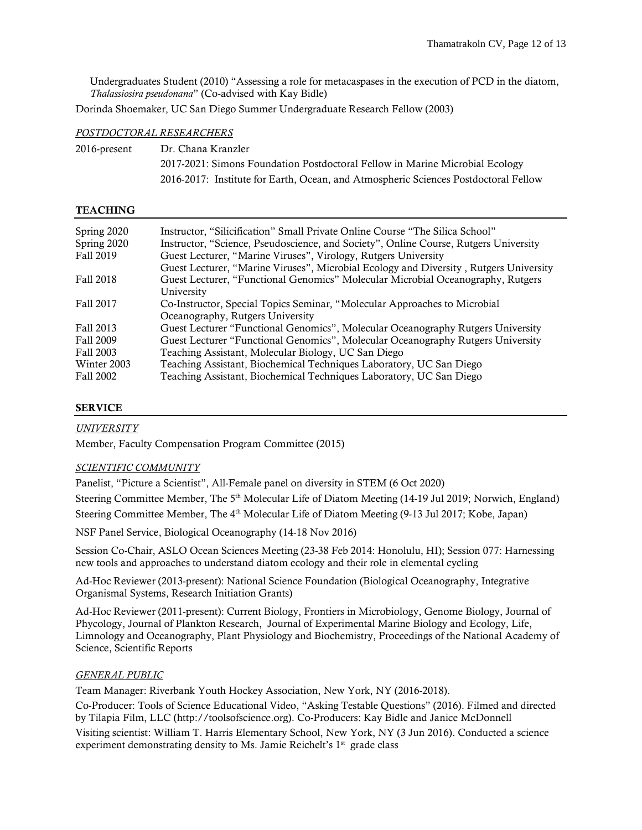Undergraduates Student (2010) "Assessing a role for metacaspases in the execution of PCD in the diatom, *Thalassiosira pseudonana*" (Co-advised with Kay Bidle)

Dorinda Shoemaker, UC San Diego Summer Undergraduate Research Fellow (2003)

#### *POSTDOCTORAL RESEARCHERS*

| 2016-present | Dr. Chana Kranzler                                                                  |
|--------------|-------------------------------------------------------------------------------------|
|              | 2017-2021: Simons Foundation Postdoctoral Fellow in Marine Microbial Ecology        |
|              | 2016-2017: Institute for Earth, Ocean, and Atmospheric Sciences Postdoctoral Fellow |

### **TEACHING**

| Spring 2020 | Instructor, "Silicification" Small Private Online Course "The Silica School"          |
|-------------|---------------------------------------------------------------------------------------|
| Spring 2020 | Instructor, "Science, Pseudoscience, and Society", Online Course, Rutgers University  |
| Fall 2019   | Guest Lecturer, "Marine Viruses", Virology, Rutgers University                        |
|             | Guest Lecturer, "Marine Viruses", Microbial Ecology and Diversity, Rutgers University |
| Fall 2018   | Guest Lecturer, "Functional Genomics" Molecular Microbial Oceanography, Rutgers       |
|             | University                                                                            |
| Fall 2017   | Co-Instructor, Special Topics Seminar, "Molecular Approaches to Microbial             |
|             | Oceanography, Rutgers University                                                      |
| Fall 2013   | Guest Lecturer "Functional Genomics", Molecular Oceanography Rutgers University       |
| Fall 2009   | Guest Lecturer "Functional Genomics", Molecular Oceanography Rutgers University       |
| Fall 2003   | Teaching Assistant, Molecular Biology, UC San Diego                                   |
| Winter 2003 | Teaching Assistant, Biochemical Techniques Laboratory, UC San Diego                   |
| Fall 2002   | Teaching Assistant, Biochemical Techniques Laboratory, UC San Diego                   |

#### SERVICE

# *UNIVERSITY*

Member, Faculty Compensation Program Committee (2015)

#### *SCIENTIFIC COMMUNITY*

Panelist, "Picture a Scientist", All-Female panel on diversity in STEM (6 Oct 2020)

Steering Committee Member, The 5<sup>th</sup> Molecular Life of Diatom Meeting (14-19 Jul 2019; Norwich, England) Steering Committee Member, The 4<sup>th</sup> Molecular Life of Diatom Meeting (9-13 Jul 2017; Kobe, Japan)

NSF Panel Service, Biological Oceanography (14-18 Nov 2016)

Session Co-Chair, ASLO Ocean Sciences Meeting (23-38 Feb 2014: Honolulu, HI); Session 077: Harnessing new tools and approaches to understand diatom ecology and their role in elemental cycling

Ad-Hoc Reviewer (2013-present): National Science Foundation (Biological Oceanography, Integrative Organismal Systems, Research Initiation Grants)

Ad-Hoc Reviewer (2011-present): Current Biology, Frontiers in Microbiology, Genome Biology, Journal of Phycology, Journal of Plankton Research, Journal of Experimental Marine Biology and Ecology, Life, Limnology and Oceanography, Plant Physiology and Biochemistry, Proceedings of the National Academy of Science, Scientific Reports

#### *GENERAL PUBLIC*

Team Manager: Riverbank Youth Hockey Association, New York, NY (2016-2018).

Co-Producer: Tools of Science Educational Video, "Asking Testable Questions" (2016). Filmed and directed by Tilapia Film, LLC (http://toolsofscience.org). Co-Producers: Kay Bidle and Janice McDonnell

Visiting scientist: William T. Harris Elementary School, New York, NY (3 Jun 2016). Conducted a science experiment demonstrating density to Ms. Jamie Reichelt's  $1<sup>st</sup>$  grade class